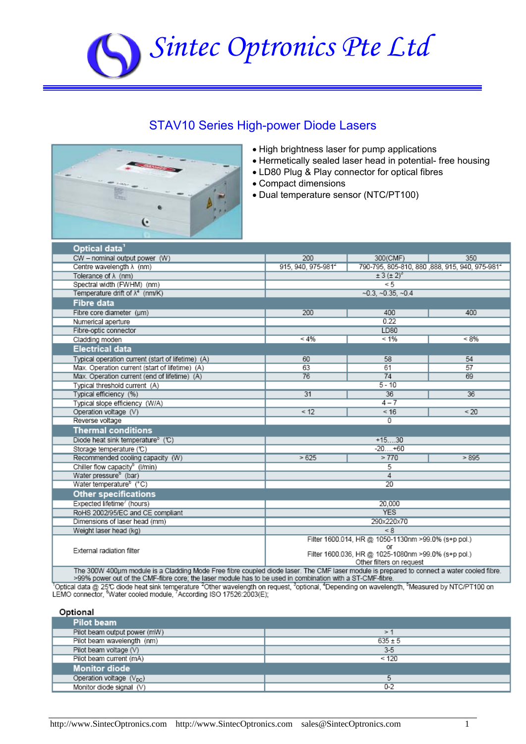# *Sintec Optronics Pte Ltd*

## STAV10 Series High-power Diode Lasers



- High brightness laser for pump applications
- Hermetically sealed laser head in potential- free housing
- LD80 Plug & Play connector for optical fibres
- Compact dimensions
- Dual temperature sensor (NTC/PT100)

| Optical data <sup>1</sup>                                                                                                                  |                                                                                                                                              |                                                |         |
|--------------------------------------------------------------------------------------------------------------------------------------------|----------------------------------------------------------------------------------------------------------------------------------------------|------------------------------------------------|---------|
| CW - nominal output power (W)                                                                                                              | 200                                                                                                                                          | 300(CMF)                                       | 350     |
| Centre wavelength $\lambda$ (nm)                                                                                                           | 915, 940, 975-981 <sup>2</sup>                                                                                                               | 790-795, 805-810, 880, 888, 915, 940, 975-9814 |         |
| Tolerance of $\lambda$ (nm)                                                                                                                | $\pm 3(\pm 2)^{3}$                                                                                                                           |                                                |         |
| Spectral width (FWHM) (nm)                                                                                                                 | < 5                                                                                                                                          |                                                |         |
| Temperature drift of $\lambda^4$ (nm/K)                                                                                                    | $-0.3, -0.35, -0.4$                                                                                                                          |                                                |         |
| <b>Fibre data</b>                                                                                                                          |                                                                                                                                              |                                                |         |
| Fibre core diameter (um)                                                                                                                   | 200                                                                                                                                          | 400                                            | 400     |
| Numerical aperture                                                                                                                         | 0.22                                                                                                                                         |                                                |         |
| Fibre-optic connector                                                                                                                      | LD80                                                                                                                                         |                                                |         |
| Cladding moden                                                                                                                             | $< 4\%$                                                                                                                                      | $< 1\%$                                        | $< 8\%$ |
| <b>Electrical data</b>                                                                                                                     |                                                                                                                                              |                                                |         |
| Typical operation current (start of lifetime) (A)                                                                                          | 60                                                                                                                                           | 58                                             | 54      |
| Max. Operation current (start of lifetime) (A)                                                                                             | 63                                                                                                                                           | 61                                             | 57      |
| Max. Operation current (end of lifetime) (A)                                                                                               | 76                                                                                                                                           | 74                                             | 69      |
| Typical threshold current (A)                                                                                                              | $5 - 10$                                                                                                                                     |                                                |         |
| Typical efficiency (%)                                                                                                                     | 31                                                                                                                                           | 36                                             | 36      |
| Typical slope efficiency (W/A)                                                                                                             |                                                                                                                                              | $4 - 7$                                        |         |
| Operation voltage (V)                                                                                                                      | < 12                                                                                                                                         | < 16                                           | < 20    |
| Reverse voltage                                                                                                                            | 0                                                                                                                                            |                                                |         |
| <b>Thermal conditions</b>                                                                                                                  |                                                                                                                                              |                                                |         |
| Diode heat sink temperature <sup>®</sup> (°C)                                                                                              | $+1530$                                                                                                                                      |                                                |         |
| Storage temperature (C)                                                                                                                    | $-20+60$                                                                                                                                     |                                                |         |
| Recommended cooling capacity (W)                                                                                                           | >625                                                                                                                                         | >770                                           | > 895   |
| Chiller flow capacity <sup>b</sup> (l/min)                                                                                                 | 5                                                                                                                                            |                                                |         |
| Water pressure <sup>b</sup> (bar)                                                                                                          | 4                                                                                                                                            |                                                |         |
| Water temperature <sup>b</sup> (°C)                                                                                                        | $\overline{20}$                                                                                                                              |                                                |         |
| <b>Other specifications</b>                                                                                                                |                                                                                                                                              |                                                |         |
| Expected lifetime <sup>'</sup> (hours)                                                                                                     | 20.000                                                                                                                                       |                                                |         |
| RoHS 2002/95/EC and CE compliant                                                                                                           | <b>YES</b>                                                                                                                                   |                                                |         |
| Dimensions of laser head (mm)                                                                                                              | 290x220x70                                                                                                                                   |                                                |         |
| Weight laser head (kg)                                                                                                                     | < 8                                                                                                                                          |                                                |         |
| External radiation filter                                                                                                                  | Filter 1600.014, HR @ 1050-1130nm >99.0% (s+p pol.)<br>or<br>Filter 1600.036, HR @ 1025-1080nm >99.0% (s+p pol.)<br>Other filters on request |                                                |         |
| The 300W 400um module is a Cladding Mode Free fibre counted diode laser. The CME laser module is prepared to connect a water cooled fibre. |                                                                                                                                              |                                                |         |

>99% power out of the CMF-fibre core; the laser module has to be used in combination with a ST-CMF-fibre.

Toptical data @ 25℃ diode heat sink temperature <sup>2</sup>Other wavelength on request, <sup>3</sup>optional, <sup>4</sup>Depending on wavelength, <sup>5</sup>Measured by NTC/PT100 on<br>LEMO connector, <sup>6</sup>Water cooled module, <sup>7</sup>According ISO 17526:2003(E);

#### Optional

| Pilot beam                   |             |
|------------------------------|-------------|
| Pilot beam output power (mW) | $\geq$      |
| Pilot beam wavelength (nm)   | $635 \pm 5$ |
| Pilot beam voltage (V)       | $3-5$       |
| Pilot beam current (mA)      | < 120       |
| <b>Monitor diode</b>         |             |
| Operation voltage $(V_{DC})$ |             |
| Monitor diode signal (V)     | $0 - 2$     |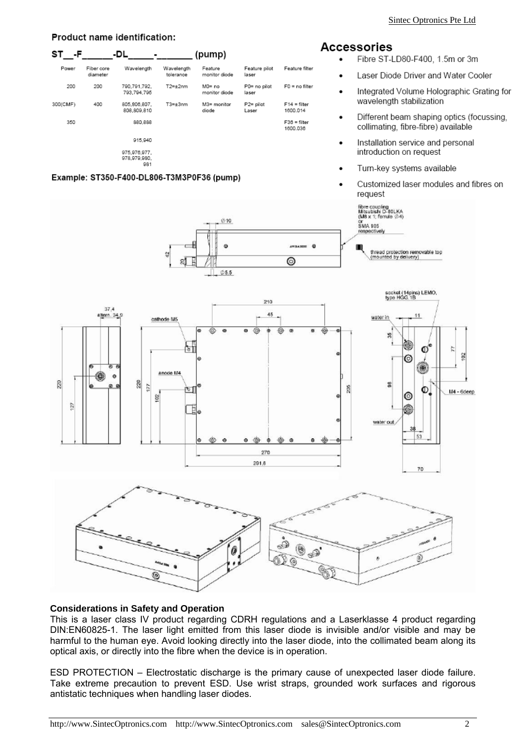#### Product name identification:

#### (pump) ST -DL -F Fiber core Wavelength Wavelength Feature Feature pilot Feature filte monitor diode diameter tolerance laser  $\bullet$ 200 200 790,791,792  $T2 = \pm 2nm$ M0= no P0= no pilot F0 = no filter 793,794,795 monitor diode laser 300(CMF) 400 805,806,807, M3= monitor P2= pilot  $F14 = \text{filter}$  $T3 = \pm 3$ nm Lase 808,809,810 diode 1600 014 880,888  $F36 = filter$ 350 1600.036 915 940 975.976.977 978,979,980 981

#### Example: ST350-F400-DL806-T3M3P0F36 (pump)



- Fibre ST-LD80-F400, 1.5m or 3m
- Laser Diode Driver and Water Cooler
- Integrated Volume Holographic Grating for wavelength stabilization
- Different beam shaping optics (focussing, collimating, fibre-fibre) available
- Installation service and personal introduction on request
- Turn-key systems available
- Customized laser modules and fibres on request



### **Considerations in Safety and Operation**

This is a laser class IV product regarding CDRH regulations and a Laserklasse 4 product regarding DIN:EN60825-1. The laser light emitted from this laser diode is invisible and/or visible and may be harmful to the human eye. Avoid looking directly into the laser diode, into the collimated beam along its optical axis, or directly into the fibre when the device is in operation.

ESD PROTECTION – Electrostatic discharge is the primary cause of unexpected laser diode failure. Take extreme precaution to prevent ESD. Use wrist straps, grounded work surfaces and rigorous antistatic techniques when handling laser diodes.